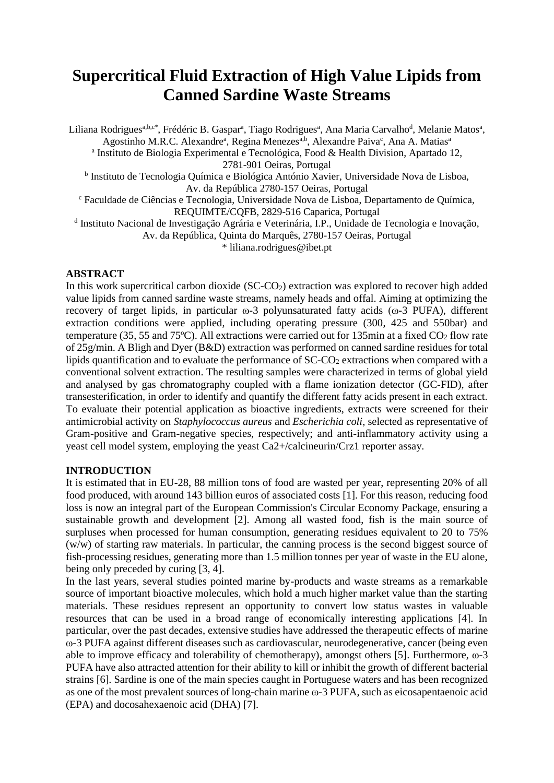# **Supercritical Fluid Extraction of High Value Lipids from Canned Sardine Waste Streams**

Liliana Rodrigues<sup>a,b,c\*</sup>, Frédéric B. Gaspar<sup>a</sup>, Tiago Rodrigues<sup>a</sup>, Ana Maria Carvalho<sup>d</sup>, Melanie Matos<sup>a</sup>, Agostinho M.R.C. Alexandre<sup>a</sup>, Regina Menezes<sup>a,b</sup>, Alexandre Paiva<sup>c</sup>, Ana A. Matias<sup>a</sup> <sup>a</sup> Instituto de Biologia Experimental e Tecnológica, Food & Health Division, Apartado 12, 2781-901 Oeiras, Portugal b Instituto de Tecnologia Química e Biológica António Xavier, Universidade Nova de Lisboa,

Av. da República 2780-157 Oeiras, Portugal

<sup>c</sup> Faculdade de Ciências e Tecnologia, Universidade Nova de Lisboa, Departamento de Química, REQUIMTE/CQFB, 2829-516 Caparica, Portugal

<sup>d</sup> Instituto Nacional de Investigação Agrária e Veterinária, I.P., Unidade de Tecnologia e Inovação, Av. da República, Quinta do Marquês, 2780-157 Oeiras, Portugal

\* liliana.rodrigues@ibet.pt

## **ABSTRACT**

In this work supercritical carbon dioxide  $(SC-CO<sub>2</sub>)$  extraction was explored to recover high added value lipids from canned sardine waste streams, namely heads and offal. Aiming at optimizing the recovery of target lipids, in particular  $\omega$ -3 polyunsaturated fatty acids ( $\omega$ -3 PUFA), different extraction conditions were applied, including operating pressure (300, 425 and 550bar) and temperature (35, 55 and 75 $^{\circ}$ C). All extractions were carried out for 135min at a fixed CO<sub>2</sub> flow rate of 25g/min. A Bligh and Dyer (B&D) extraction was performed on canned sardine residues for total lipids quantification and to evaluate the performance of  $SC\text{-}CO<sub>2</sub>$  extractions when compared with a conventional solvent extraction. The resulting samples were characterized in terms of global yield and analysed by gas chromatography coupled with a flame ionization detector (GC-FID), after transesterification, in order to identify and quantify the different fatty acids present in each extract. To evaluate their potential application as bioactive ingredients, extracts were screened for their antimicrobial activity on *Staphylococcus aureus* and *Escherichia coli*, selected as representative of Gram-positive and Gram-negative species, respectively; and anti-inflammatory activity using a yeast cell model system, employing the yeast Ca2+/calcineurin/Crz1 reporter assay.

## **INTRODUCTION**

It is estimated that in EU-28, 88 million tons of food are wasted per year, representing 20% of all food produced, with around 143 billion euros of associated costs [1]. For this reason, reducing food loss is now an integral part of the European Commission's Circular Economy Package, ensuring a sustainable growth and development [2]. Among all wasted food, fish is the main source of surpluses when processed for human consumption, generating residues equivalent to 20 to 75% (w/w) of starting raw materials. In particular, the canning process is the second biggest source of fish-processing residues, generating more than 1.5 million tonnes per year of waste in the EU alone, being only preceded by curing [3, 4].

In the last years, several studies pointed marine by-products and waste streams as a remarkable source of important bioactive molecules, which hold a much higher market value than the starting materials. These residues represent an opportunity to convert low status wastes in valuable resources that can be used in a broad range of economically interesting applications [4]. In particular, over the past decades, extensive studies have addressed the therapeutic effects of marine ω-3 PUFA against different diseases such as cardiovascular, neurodegenerative, cancer (being even able to improve efficacy and tolerability of chemotherapy), amongst others [5]. Furthermore,  $\omega$ -3 PUFA have also attracted attention for their ability to kill or inhibit the growth of different bacterial strains [6]. Sardine is one of the main species caught in Portuguese waters and has been recognized as one of the most prevalent sources of long-chain marine ω-3 PUFA, such as eicosapentaenoic acid (EPA) and docosahexaenoic acid (DHA) [7].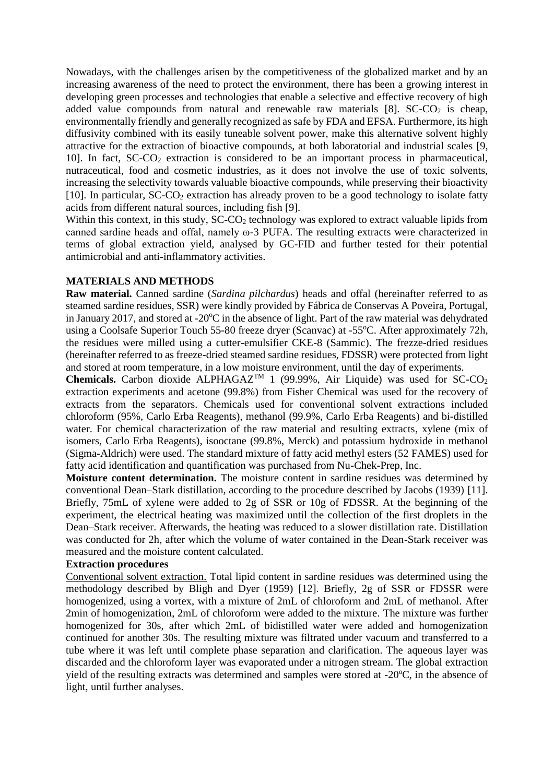Nowadays, with the challenges arisen by the competitiveness of the globalized market and by an increasing awareness of the need to protect the environment, there has been a growing interest in developing green processes and technologies that enable a selective and effective recovery of high added value compounds from natural and renewable raw materials  $[8]$ . SC-CO<sub>2</sub> is cheap, environmentally friendly and generally recognized as safe by FDA and EFSA. Furthermore, its high diffusivity combined with its easily tuneable solvent power, make this alternative solvent highly attractive for the extraction of bioactive compounds, at both laboratorial and industrial scales [9, 10]. In fact,  $SC-CO<sub>2</sub>$  extraction is considered to be an important process in pharmaceutical, nutraceutical, food and cosmetic industries, as it does not involve the use of toxic solvents, increasing the selectivity towards valuable bioactive compounds, while preserving their bioactivity [10]. In particular,  $SC-CO<sub>2</sub>$  extraction has already proven to be a good technology to isolate fatty acids from different natural sources, including fish [9].

Within this context, in this study,  $SC\text{-}CO<sub>2</sub>$  technology was explored to extract valuable lipids from canned sardine heads and offal, namely ω-3 PUFA. The resulting extracts were characterized in terms of global extraction yield, analysed by GC-FID and further tested for their potential antimicrobial and anti-inflammatory activities.

#### **MATERIALS AND METHODS**

**Raw material.** Canned sardine (*Sardina pilchardus*) heads and offal (hereinafter referred to as steamed sardine residues, SSR) were kindly provided by Fábrica de Conservas A Poveira, Portugal, in January 2017, and stored at -20 $^{\circ}$ C in the absence of light. Part of the raw material was dehydrated using a Coolsafe Superior Touch 55-80 freeze dryer (Scanvac) at -55°C. After approximately 72h, the residues were milled using a cutter-emulsifier CKE-8 (Sammic). The frezze-dried residues (hereinafter referred to as freeze-dried steamed sardine residues, FDSSR) were protected from light and stored at room temperature, in a low moisture environment, until the day of experiments.

**Chemicals.** Carbon dioxide ALPHAGAZ<sup>TM</sup> 1 (99.99%, Air Liquide) was used for  $SC-CO<sub>2</sub>$ extraction experiments and acetone (99.8%) from Fisher Chemical was used for the recovery of extracts from the separators. Chemicals used for conventional solvent extractions included chloroform (95%, Carlo Erba Reagents), methanol (99.9%, Carlo Erba Reagents) and bi-distilled water. For chemical characterization of the raw material and resulting extracts, xylene (mix of isomers, Carlo Erba Reagents), isooctane (99.8%, Merck) and potassium hydroxide in methanol (Sigma-Aldrich) were used. The standard mixture of fatty acid methyl esters (52 FAMES) used for fatty acid identification and quantification was purchased from Nu-Chek-Prep, Inc.

**Moisture content determination.** The moisture content in sardine residues was determined by conventional Dean–Stark distillation, according to the procedure described by Jacobs (1939) [11]. Briefly, 75mL of xylene were added to 2g of SSR or 10g of FDSSR. At the beginning of the experiment, the electrical heating was maximized until the collection of the first droplets in the Dean–Stark receiver. Afterwards, the heating was reduced to a slower distillation rate. Distillation was conducted for 2h, after which the volume of water contained in the Dean-Stark receiver was measured and the moisture content calculated.

#### **Extraction procedures**

Conventional solvent extraction. Total lipid content in sardine residues was determined using the methodology described by Bligh and Dyer (1959) [12]. Briefly, 2g of SSR or FDSSR were homogenized, using a vortex, with a mixture of 2mL of chloroform and 2mL of methanol. After 2min of homogenization, 2mL of chloroform were added to the mixture. The mixture was further homogenized for 30s, after which 2mL of bidistilled water were added and homogenization continued for another 30s. The resulting mixture was filtrated under vacuum and transferred to a tube where it was left until complete phase separation and clarification. The aqueous layer was discarded and the chloroform layer was evaporated under a nitrogen stream. The global extraction yield of the resulting extracts was determined and samples were stored at  $-20^{\circ}$ C, in the absence of light, until further analyses.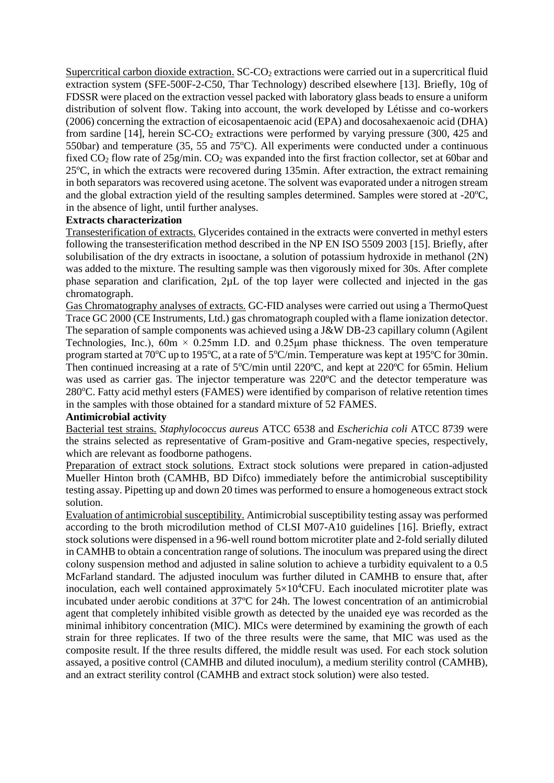Supercritical carbon dioxide extraction. SC-CO<sub>2</sub> extractions were carried out in a supercritical fluid extraction system (SFE-500F-2-C50, Thar Technology) described elsewhere [13]. Briefly, 10g of FDSSR were placed on the extraction vessel packed with laboratory glass beads to ensure a uniform distribution of solvent flow. Taking into account, the work developed by Létisse and co-workers (2006) concerning the extraction of eicosapentaenoic acid (EPA) and docosahexaenoic acid (DHA) from sardine  $[14]$ , herein SC-CO<sub>2</sub> extractions were performed by varying pressure (300, 425 and 550bar) and temperature  $(35, 55 \text{ and } 75^{\circ}\text{C})$ . All experiments were conducted under a continuous fixed  $CO_2$  flow rate of  $25g/min$ .  $CO_2$  was expanded into the first fraction collector, set at 60bar and 25ºC, in which the extracts were recovered during 135min. After extraction, the extract remaining in both separators was recovered using acetone. The solvent was evaporated under a nitrogen stream and the global extraction yield of the resulting samples determined. Samples were stored at  $-20^{\circ}$ C, in the absence of light, until further analyses.

## **Extracts characterization**

Transesterification of extracts. Glycerides contained in the extracts were converted in methyl esters following the transesterification method described in the NP EN ISO 5509 2003 [15]. Briefly, after solubilisation of the dry extracts in isooctane, a solution of potassium hydroxide in methanol (2N) was added to the mixture. The resulting sample was then vigorously mixed for 30s. After complete phase separation and clarification, 2µL of the top layer were collected and injected in the gas chromatograph.

Gas Chromatography analyses of extracts. GC-FID analyses were carried out using a ThermoQuest Trace GC 2000 (CE Instruments, Ltd.) gas chromatograph coupled with a flame ionization detector. The separation of sample components was achieved using a J&W DB-23 capillary column (Agilent Technologies, Inc.),  $60m \times 0.25mm$  I.D. and  $0.25\mu m$  phase thickness. The oven temperature program started at 70 $^{\circ}$ C up to 195 $^{\circ}$ C, at a rate of 5 $^{\circ}$ C/min. Temperature was kept at 195 $^{\circ}$ C for 30min. Then continued increasing at a rate of  $5^{\circ}$ C/min until 220 $^{\circ}$ C, and kept at 220 $^{\circ}$ C for 65min. Helium was used as carrier gas. The injector temperature was 220ºC and the detector temperature was 280°C. Fatty acid methyl esters (FAMES) were identified by comparison of relative retention times in the samples with those obtained for a standard mixture of 52 FAMES.

## **Antimicrobial activity**

Bacterial test strains. *Staphylococcus aureus* ATCC 6538 and *Escherichia coli* ATCC 8739 were the strains selected as representative of Gram-positive and Gram-negative species, respectively, which are relevant as foodborne pathogens.

Preparation of extract stock solutions. Extract stock solutions were prepared in cation-adjusted Mueller Hinton broth (CAMHB, BD Difco) immediately before the antimicrobial susceptibility testing assay. Pipetting up and down 20 times was performed to ensure a homogeneous extract stock solution.

Evaluation of antimicrobial susceptibility. Antimicrobial susceptibility testing assay was performed according to the broth microdilution method of CLSI M07-A10 guidelines [16]. Briefly, extract stock solutions were dispensed in a 96-well round bottom microtiter plate and 2-fold serially diluted in CAMHB to obtain a concentration range of solutions. The inoculum was prepared using the direct colony suspension method and adjusted in saline solution to achieve a turbidity equivalent to a 0.5 McFarland standard. The adjusted inoculum was further diluted in CAMHB to ensure that, after inoculation, each well contained approximately  $5\times10^4$ CFU. Each inoculated microtiter plate was incubated under aerobic conditions at 37ºC for 24h. The lowest concentration of an antimicrobial agent that completely inhibited visible growth as detected by the unaided eye was recorded as the minimal inhibitory concentration (MIC). MICs were determined by examining the growth of each strain for three replicates. If two of the three results were the same, that MIC was used as the composite result. If the three results differed, the middle result was used. For each stock solution assayed, a positive control (CAMHB and diluted inoculum), a medium sterility control (CAMHB), and an extract sterility control (CAMHB and extract stock solution) were also tested.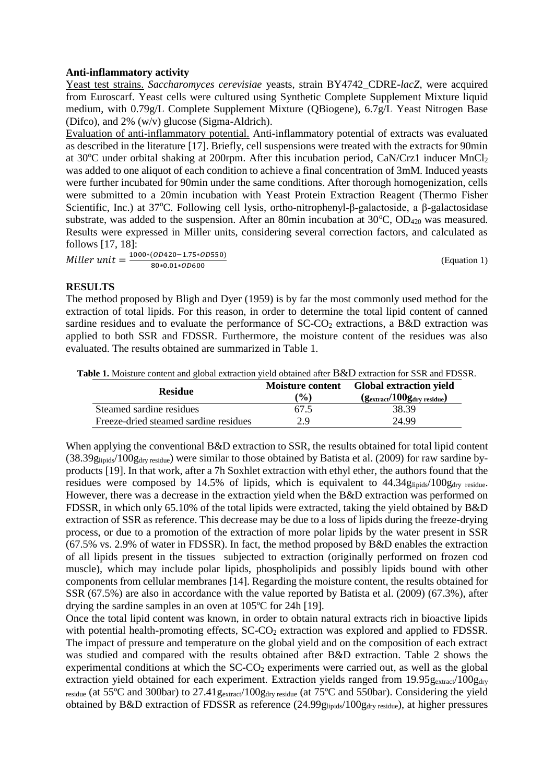#### **Anti-inflammatory activity**

Yeast test strains. *Saccharomyces cerevisiae* yeasts, strain BY4742\_CDRE-*lacZ*, were acquired from Euroscarf. Yeast cells were cultured using Synthetic Complete Supplement Mixture liquid medium, with 0.79g/L Complete Supplement Mixture (QBiogene), 6.7g/L Yeast Nitrogen Base (Difco), and 2% (w/v) glucose (Sigma-Aldrich).

Evaluation of anti-inflammatory potential. Anti-inflammatory potential of extracts was evaluated as described in the literature [17]. Briefly, cell suspensions were treated with the extracts for 90min at 30 $^{\circ}$ C under orbital shaking at 200rpm. After this incubation period, CaN/Crz1 inducer MnCl<sub>2</sub> was added to one aliquot of each condition to achieve a final concentration of 3mM. Induced yeasts were further incubated for 90min under the same conditions. After thorough homogenization, cells were submitted to a 20min incubation with Yeast Protein Extraction Reagent (Thermo Fisher Scientific, Inc.) at 37°C. Following cell lysis, ortho-nitrophenyl-β-galactoside, a β-galactosidase substrate, was added to the suspension. After an 80min incubation at  $30^{\circ}$ C, OD<sub>420</sub> was measured. Results were expressed in Miller units, considering several correction factors, and calculated as follows [17, 18]:

 $Miller \ unit = \frac{1000*(OD420-1.75*OD550)}{90*0.91*00690}$ 80∗0.01\*OD600

(Equation 1)

#### **RESULTS**

The method proposed by Bligh and Dyer (1959) is by far the most commonly used method for the extraction of total lipids. For this reason, in order to determine the total lipid content of canned sardine residues and to evaluate the performance of  $SC\text{-}CO<sub>2</sub>$  extractions, a B&D extraction was applied to both SSR and FDSSR. Furthermore, the moisture content of the residues was also evaluated. The results obtained are summarized in Table 1.

| <b>Residue</b>                        | Moisture content<br>$\mathcal{O}(6)$ | <b>Global extraction yield</b><br>$(g_{\text{extract}}/100g_{\text{dry residue}})$ |  |  |  |  |
|---------------------------------------|--------------------------------------|------------------------------------------------------------------------------------|--|--|--|--|
| Steamed sardine residues              | 67.5                                 | 38.39                                                                              |  |  |  |  |
| Freeze-dried steamed sardine residues | 2.9                                  | 24.99                                                                              |  |  |  |  |

When applying the conventional B&D extraction to SSR, the results obtained for total lipid content (38.39glipids/100gdry residue) were similar to those obtained by Batista et al. (2009) for raw sardine byproducts [19]. In that work, after a 7h Soxhlet extraction with ethyl ether, the authors found that the residues were composed by 14.5% of lipids, which is equivalent to 44.34glipids/100g<sub>dry residue</sub>. However, there was a decrease in the extraction yield when the B&D extraction was performed on FDSSR, in which only 65.10% of the total lipids were extracted, taking the yield obtained by B&D extraction of SSR as reference. This decrease may be due to a loss of lipids during the freeze-drying process, or due to a promotion of the extraction of more polar lipids by the water present in SSR (67.5% vs. 2.9% of water in FDSSR). In fact, the method proposed by B&D enables the extraction of all lipids present in the tissues subjected to extraction (originally performed on frozen cod muscle), which may include polar lipids, phospholipids and possibly lipids bound with other components from cellular membranes [14]. Regarding the moisture content, the results obtained for SSR (67.5%) are also in accordance with the value reported by Batista et al. (2009) (67.3%), after drying the sardine samples in an oven at 105ºC for 24h [19].

Once the total lipid content was known, in order to obtain natural extracts rich in bioactive lipids with potential health-promoting effects, SC-CO<sub>2</sub> extraction was explored and applied to FDSSR. The impact of pressure and temperature on the global yield and on the composition of each extract was studied and compared with the results obtained after B&D extraction. Table 2 shows the experimental conditions at which the SC-CO<sub>2</sub> experiments were carried out, as well as the global extraction yield obtained for each experiment. Extraction yields ranged from  $19.95g_{\text{extract}}/100g_{\text{dry}}$ residue (at 55°C and 300bar) to 27.41 g<sub>extract</sub>/100 g<sub>dry residue</sub> (at 75°C and 550bar). Considering the yield obtained by B&D extraction of FDSSR as reference (24.99glipids/100gdry residue), at higher pressures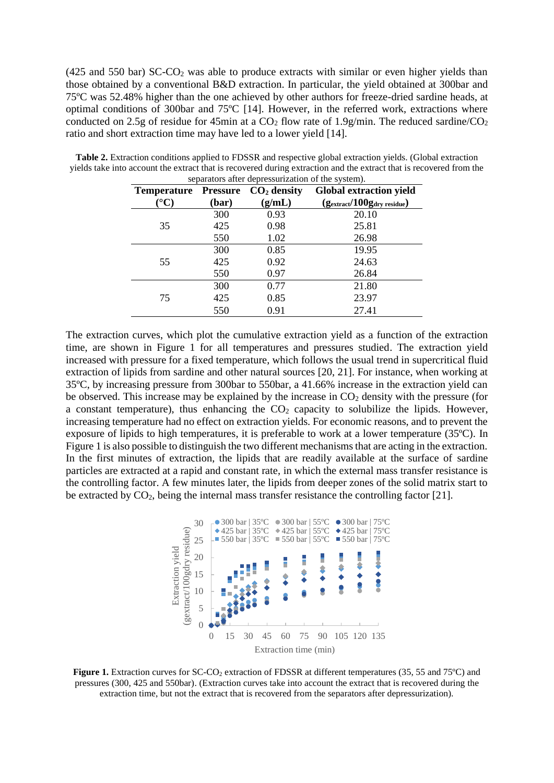(425 and 550 bar)  $SC-CO<sub>2</sub>$  was able to produce extracts with similar or even higher yields than those obtained by a conventional B&D extraction. In particular, the yield obtained at 300bar and 75ºC was 52.48% higher than the one achieved by other authors for freeze-dried sardine heads, at optimal conditions of 300bar and 75ºC [14]. However, in the referred work, extractions where conducted on 2.5g of residue for 45min at a  $CO<sub>2</sub>$  flow rate of 1.9g/min. The reduced sardine/ $CO<sub>2</sub>$ ratio and short extraction time may have led to a lower yield [14].

| <b>Temperature</b> | <b>Pressure</b> | $CO2$ density | <b>Global extraction yield</b>                   |  |  |  |  |  |
|--------------------|-----------------|---------------|--------------------------------------------------|--|--|--|--|--|
| $^\circ{\rm C})$   | (bar)           | (g/mL)        | $(g_{\text{extract}}/100g_{\text{dry residue}})$ |  |  |  |  |  |
|                    | 300             | 0.93          | 20.10                                            |  |  |  |  |  |
| 35                 | 425             | 0.98          | 25.81                                            |  |  |  |  |  |
|                    | 550             | 1.02          | 26.98                                            |  |  |  |  |  |
|                    | 300             | 0.85          | 19.95                                            |  |  |  |  |  |
| 55                 | 425             | 0.92          | 24.63                                            |  |  |  |  |  |
|                    | 550             | 0.97          | 26.84                                            |  |  |  |  |  |
|                    | 300             | 0.77          | 21.80                                            |  |  |  |  |  |
| 75                 | 425             | 0.85          | 23.97                                            |  |  |  |  |  |
|                    | 550             | 0.91          | 27.41                                            |  |  |  |  |  |

**Table 2.** Extraction conditions applied to FDSSR and respective global extraction yields. (Global extraction yields take into account the extract that is recovered during extraction and the extract that is recovered from the separators after depressurization of the system).

The extraction curves, which plot the cumulative extraction yield as a function of the extraction time, are shown in Figure 1 for all temperatures and pressures studied. The extraction yield increased with pressure for a fixed temperature, which follows the usual trend in supercritical fluid extraction of lipids from sardine and other natural sources [20, 21]. For instance, when working at 35ºC, by increasing pressure from 300bar to 550bar, a 41.66% increase in the extraction yield can be observed. This increase may be explained by the increase in  $CO<sub>2</sub>$  density with the pressure (for a constant temperature), thus enhancing the  $CO<sub>2</sub>$  capacity to solubilize the lipids. However, increasing temperature had no effect on extraction yields. For economic reasons, and to prevent the exposure of lipids to high temperatures, it is preferable to work at a lower temperature (35ºC). In Figure 1 is also possible to distinguish the two different mechanisms that are acting in the extraction. In the first minutes of extraction, the lipids that are readily available at the surface of sardine particles are extracted at a rapid and constant rate, in which the external mass transfer resistance is the controlling factor. A few minutes later, the lipids from deeper zones of the solid matrix start to be extracted by CO<sub>2</sub>, being the internal mass transfer resistance the controlling factor [21].



**Figure 1.** Extraction curves for SC-CO<sub>2</sub> extraction of FDSSR at different temperatures (35, 55 and 75°C) and pressures (300, 425 and 550bar). (Extraction curves take into account the extract that is recovered during the extraction time, but not the extract that is recovered from the separators after depressurization).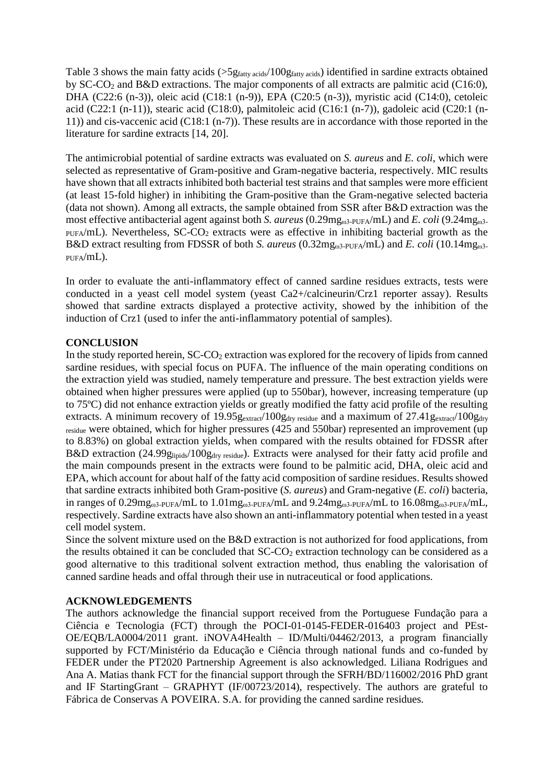Table 3 shows the main fatty acids (>5 $g_{\text{fatty acids}}/100g_{\text{fatty acids}}$ ) identified in sardine extracts obtained by  $SC-CO<sub>2</sub>$  and  $B&D$  extractions. The major components of all extracts are palmitic acid (C16:0), DHA (C22:6 (n-3)), oleic acid (C18:1 (n-9)), EPA (C20:5 (n-3)), myristic acid (C14:0), cetoleic acid (C22:1 (n-11)), stearic acid (C18:0), palmitoleic acid (C16:1 (n-7)), gadoleic acid (C20:1 (n-11)) and cis-vaccenic acid (C18:1 (n-7)). These results are in accordance with those reported in the literature for sardine extracts [14, 20].

The antimicrobial potential of sardine extracts was evaluated on *S. aureus* and *E. coli*, which were selected as representative of Gram-positive and Gram-negative bacteria, respectively. MIC results have shown that all extracts inhibited both bacterial test strains and that samples were more efficient (at least 15-fold higher) in inhibiting the Gram-positive than the Gram-negative selected bacteria (data not shown). Among all extracts, the sample obtained from SSR after B&D extraction was the most effective antibacterial agent against both *S. aureus* (0.29mgω3-PUFA/mL) and *E. coli* (9.24mgω3-  $PUFA/ML$ ). Nevertheless, SC-CO<sub>2</sub> extracts were as effective in inhibiting bacterial growth as the B&D extract resulting from FDSSR of both *S. aureus* (0.32mgω3-PUFA/mL) and *E. coli* (10.14mgω3- PUFA/mL).

In order to evaluate the anti-inflammatory effect of canned sardine residues extracts, tests were conducted in a yeast cell model system (yeast Ca2+/calcineurin/Crz1 reporter assay). Results showed that sardine extracts displayed a protective activity, showed by the inhibition of the induction of Crz1 (used to infer the anti-inflammatory potential of samples).

# **CONCLUSION**

In the study reported herein,  $SCCO<sub>2</sub>$  extraction was explored for the recovery of lipids from canned sardine residues, with special focus on PUFA. The influence of the main operating conditions on the extraction yield was studied, namely temperature and pressure. The best extraction yields were obtained when higher pressures were applied (up to 550bar), however, increasing temperature (up to 75ºC) did not enhance extraction yields or greatly modified the fatty acid profile of the resulting extracts. A minimum recovery of 19.95 gextract/100 gdry residue and a maximum of 27.41 gextract/100 gdry residue were obtained, which for higher pressures (425 and 550bar) represented an improvement (up to 8.83%) on global extraction yields, when compared with the results obtained for FDSSR after B&D extraction (24.99glipids/100gdry residue). Extracts were analysed for their fatty acid profile and the main compounds present in the extracts were found to be palmitic acid, DHA, oleic acid and EPA, which account for about half of the fatty acid composition of sardine residues. Results showed that sardine extracts inhibited both Gram-positive (*S. aureus*) and Gram-negative (*E. coli*) bacteria, in ranges of 0.29mg<sub>ω3-PUFA</sub>/mL to 1.01mg<sub>ω3-PUFA</sub>/mL and 9.24mg<sub>ω3-PUFA</sub>/mL to 16.08mg<sub>ω3-PUFA</sub>/mL, respectively. Sardine extracts have also shown an anti-inflammatory potential when tested in a yeast cell model system.

Since the solvent mixture used on the B&D extraction is not authorized for food applications, from the results obtained it can be concluded that  $SC\text{-}CO<sub>2</sub>$  extraction technology can be considered as a good alternative to this traditional solvent extraction method, thus enabling the valorisation of canned sardine heads and offal through their use in nutraceutical or food applications.

## **ACKNOWLEDGEMENTS**

The authors acknowledge the financial support received from the Portuguese Fundação para a Ciência e Tecnologia (FCT) through the POCI-01-0145-FEDER-016403 project and PEst-OE/EQB/LA0004/2011 grant. iNOVA4Health – ID/Multi/04462/2013, a program financially supported by FCT/Ministério da Educação e Ciência through national funds and co-funded by FEDER under the PT2020 Partnership Agreement is also acknowledged. Liliana Rodrigues and Ana A. Matias thank FCT for the financial support through the SFRH/BD/116002/2016 PhD grant and IF StartingGrant – GRAPHYT (IF/00723/2014), respectively. The authors are grateful to Fábrica de Conservas A POVEIRA. S.A. for providing the canned sardine residues.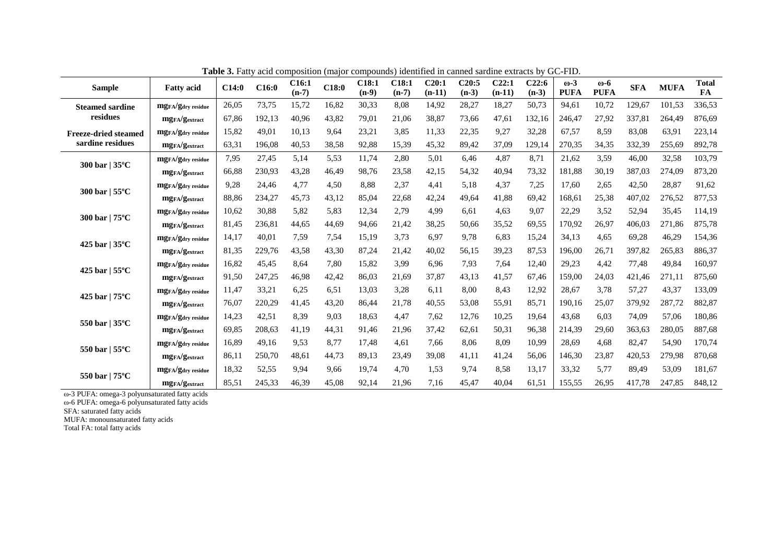| <b>Sample</b>                                   | <b>Fatty acid</b>                          | C14:0 | C16:0  | C16:1<br>$(n-7)$ | C18:0 | C18:1<br>$(n-9)$ | C18:1<br>$(n-7)$ | C20:1<br>$(n-11)$ | C20:5<br>$(n-3)$ | C22:1<br>$(n-11)$ | C22:6<br>$(n-3)$ | $\omega$ -3<br><b>PUFA</b> | $\omega$ -6<br><b>PUFA</b> | <b>SFA</b> | <b>MUFA</b> | <b>Total</b><br>FA |
|-------------------------------------------------|--------------------------------------------|-------|--------|------------------|-------|------------------|------------------|-------------------|------------------|-------------------|------------------|----------------------------|----------------------------|------------|-------------|--------------------|
| <b>Steamed sardine</b>                          | mg <sub>FA</sub> /g <sub>dry</sub> residue | 26,05 | 73,75  | 15,72            | 16,82 | 30,33            | 8,08             | 14,92             | 28,27            | 18,27             | 50,73            | 94,61                      | 10,72                      | 129,67     | 101,53      | 336,53             |
| residues                                        | mgFA/gextract                              | 67,86 | 192,13 | 40,96            | 43,82 | 79,01            | 21,06            | 38,87             | 73,66            | 47,61             | 132,16           | 246,47                     | 27,92                      | 337,81     | 264,49      | 876,69             |
| <b>Freeze-dried steamed</b><br>sardine residues | $mgFA/gdry$ residue                        | 15,82 | 49,01  | 10,13            | 9,64  | 23,21            | 3,85             | 11,33             | 22,35            | 9,27              | 32,28            | 67,57                      | 8,59                       | 83,08      | 63,91       | 223,14             |
|                                                 | mgFA/gextract                              | 63,31 | 196,08 | 40,53            | 38,58 | 92,88            | 15,39            | 45,32             | 89,42            | 37,09             | 129,14           | 270,35                     | 34,35                      | 332,39     | 255,69      | 892,78             |
| 300 bar   $35^{\circ}$ C                        | $mgFA/gdry$ residue                        | 7.95  | 27,45  | 5,14             | 5,53  | 11,74            | 2,80             | 5,01              | 6,46             | 4,87              | 8,71             | 21,62                      | 3,59                       | 46,00      | 32,58       | 103,79             |
|                                                 | $mg_{FA}/g_{extract}$                      | 66,88 | 230,93 | 43,28            | 46,49 | 98,76            | 23,58            | 42,15             | 54,32            | 40,94             | 73,32            | 181,88                     | 30,19                      | 387,03     | 274,09      | 873,20             |
| 300 bar   55°C                                  | mgFA/gdry residue                          | 9,28  | 24,46  | 4,77             | 4,50  | 8,88             | 2,37             | 4,41              | 5,18             | 4,37              | 7,25             | 17,60                      | 2,65                       | 42,50      | 28,87       | 91,62              |
|                                                 | mg <sub>FA</sub> /g <sub>extract</sub>     | 88,86 | 234,27 | 45,73            | 43,12 | 85,04            | 22,68            | 42,24             | 49,64            | 41,88             | 69,42            | 168,61                     | 25,38                      | 407,02     | 276,52      | 877,53             |
| 300 bar   75°C                                  | $mgFA/gdry$ residue                        | 10,62 | 30,88  | 5,82             | 5,83  | 12,34            | 2,79             | 4,99              | 6,61             | 4,63              | 9,07             | 22,29                      | 3,52                       | 52,94      | 35,45       | 114,19             |
|                                                 | mg <sub>FA</sub> /g <sub>extract</sub>     | 81,45 | 236,81 | 44,65            | 44,69 | 94,66            | 21,42            | 38,25             | 50,66            | 35,52             | 69,55            | 170,92                     | 26,97                      | 406,03     | 271,86      | 875,78             |
| 425 bar   $35^{\circ}$ C                        | $mg_{FA}/g_{drv}$ residue                  | 14,17 | 40,01  | 7,59             | 7,54  | 15,19            | 3,73             | 6,97              | 9,78             | 6,83              | 15,24            | 34,13                      | 4,65                       | 69,28      | 46,29       | 154,36             |
|                                                 | mg <sub>FA</sub> /g <sub>extract</sub>     | 81,35 | 229,76 | 43,58            | 43,30 | 87,24            | 21.42            | 40,02             | 56,15            | 39,23             | 87,53            | 196,00                     | 26,71                      | 397,82     | 265,83      | 886,37             |
| 425 bar   $55^{\circ}$ C                        | $mgFA/gdrv$ residue                        | 16,82 | 45,45  | 8,64             | 7,80  | 15,82            | 3,99             | 6,96              | 7,93             | 7,64              | 12,40            | 29,23                      | 4,42                       | 77,48      | 49,84       | 160,97             |
|                                                 | mg <sub>FA</sub> /g <sub>extract</sub>     | 91,50 | 247,25 | 46,98            | 42,42 | 86,03            | 21,69            | 37,87             | 43,13            | 41,57             | 67,46            | 159,00                     | 24,03                      | 421,46     | 271.11      | 875,60             |
| 425 bar   $75^{\circ}$ C                        | $mg_{FA}/g_{drv}$ residue                  | 11,47 | 33,21  | 6,25             | 6,51  | 13,03            | 3,28             | 6,11              | 8,00             | 8,43              | 12,92            | 28,67                      | 3,78                       | 57,27      | 43,37       | 133,09             |
|                                                 | mgFA/gextract                              | 76,07 | 220,29 | 41,45            | 43,20 | 86,44            | 21,78            | 40,55             | 53,08            | 55,91             | 85,71            | 190,16                     | 25,07                      | 379,92     | 287,72      | 882,87             |
| 550 bar   35°C                                  | $mgFA/gdry$ residue                        | 14,23 | 42,51  | 8,39             | 9,03  | 18,63            | 4,47             | 7,62              | 12,76            | 10,25             | 19,64            | 43,68                      | 6,03                       | 74,09      | 57,06       | 180,86             |
|                                                 | $mg_{FA}/g_{extract}$                      | 69,85 | 208,63 | 41,19            | 44,31 | 91,46            | 21,96            | 37,42             | 62,61            | 50,31             | 96,38            | 214,39                     | 29,60                      | 363,63     | 280,05      | 887,68             |
| 550 bar $\vert$ 55°C                            | <b>mg</b> FA/g <sub>dry</sub> residue      | 16,89 | 49,16  | 9,53             | 8,77  | 17,48            | 4,61             | 7,66              | 8,06             | 8,09              | 10.99            | 28,69                      | 4,68                       | 82,47      | 54,90       | 170,74             |
|                                                 | mg <sub>FA</sub> /g <sub>extract</sub>     | 86,11 | 250,70 | 48,61            | 44,73 | 89,13            | 23,49            | 39,08             | 41,11            | 41,24             | 56,06            | 146,30                     | 23,87                      | 420,53     | 279,98      | 870,68             |
| 550 bar   75°C                                  | <b>mg</b> FA/g <sub>dry</sub> residue      | 18,32 | 52,55  | 9,94             | 9,66  | 19,74            | 4,70             | 1,53              | 9,74             | 8,58              | 13,17            | 33,32                      | 5,77                       | 89,49      | 53,09       | 181,67             |
|                                                 | mgFA/gextract                              | 85,51 | 245,33 | 46,39            | 45,08 | 92,14            | 21,96            | 7,16              | 45,47            | 40,04             | 61,51            | 155,55                     | 26,95                      | 417,78     | 247,85      | 848,12             |

**Table 3.** Fatty acid composition (major compounds) identified in canned sardine extracts by GC-FID.

ω-3 PUFA: omega-3 polyunsaturated fatty acids

ω-6 PUFA: omega-6 polyunsaturated fatty acids

SFA: saturated fatty acids

MUFA: monounsaturated fatty acids

Total FA: total fatty acids